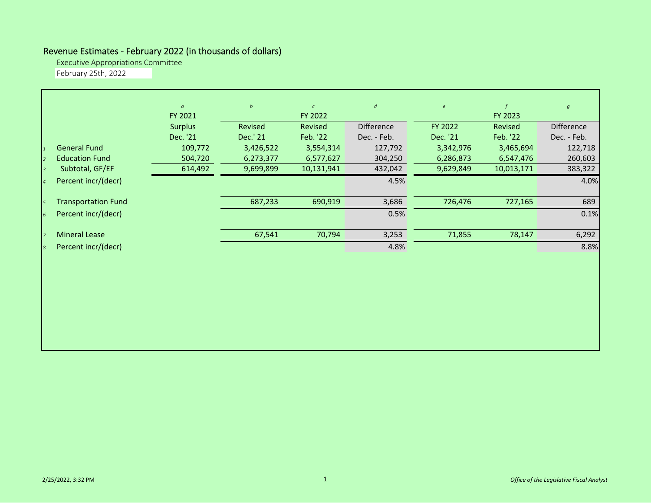## Revenue Estimates ‐ February 2022 (in thousands of dollars)

Executive Appropriations Committee

February 25th, 2022

|                |                            | $\alpha$       | b         | $\mathcal{C}$ | $\boldsymbol{d}$ | $\epsilon$ | $\mathbf{f}$ | $\boldsymbol{g}$ |
|----------------|----------------------------|----------------|-----------|---------------|------------------|------------|--------------|------------------|
|                |                            | FY 2021        |           | FY 2022       |                  |            | FY 2023      |                  |
|                |                            | <b>Surplus</b> | Revised   | Revised       | Difference       | FY 2022    | Revised      | Difference       |
|                |                            | Dec. '21       | Dec.' 21  | Feb. '22      | Dec. - Feb.      | Dec. '21   | Feb. '22     | Dec. - Feb.      |
|                | <b>General Fund</b>        | 109,772        | 3,426,522 | 3,554,314     | 127,792          | 3,342,976  | 3,465,694    | 122,718          |
| $\overline{z}$ | <b>Education Fund</b>      | 504,720        | 6,273,377 | 6,577,627     | 304,250          | 6,286,873  | 6,547,476    | 260,603          |
|                | Subtotal, GF/EF            | 614,492        | 9,699,899 | 10,131,941    | 432,042          | 9,629,849  | 10,013,171   | 383,322          |
|                | Percent incr/(decr)        |                |           |               | 4.5%             |            |              | 4.0%             |
|                |                            |                |           |               |                  |            |              |                  |
| 5              | <b>Transportation Fund</b> |                | 687,233   | 690,919       | 3,686            | 726,476    | 727,165      | 689              |
| $\overline{6}$ | Percent incr/(decr)        |                |           |               | 0.5%             |            |              | 0.1%             |
|                |                            |                |           |               |                  |            |              |                  |
| $\overline{z}$ | <b>Mineral Lease</b>       |                | 67,541    | 70,794        | 3,253            | 71,855     | 78,147       | 6,292            |
| 8              | Percent incr/(decr)        |                |           |               | 4.8%             |            |              | 8.8%             |
|                |                            |                |           |               |                  |            |              |                  |
|                |                            |                |           |               |                  |            |              |                  |
|                |                            |                |           |               |                  |            |              |                  |
|                |                            |                |           |               |                  |            |              |                  |
|                |                            |                |           |               |                  |            |              |                  |
|                |                            |                |           |               |                  |            |              |                  |
|                |                            |                |           |               |                  |            |              |                  |
|                |                            |                |           |               |                  |            |              |                  |
|                |                            |                |           |               |                  |            |              |                  |